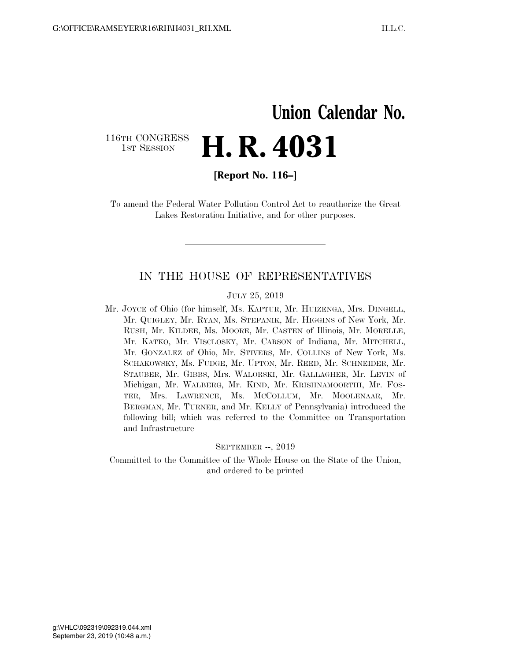## **Union Calendar No.**  116TH CONGRESS<br>1st Session **H. R. 4031**

**[Report No. 116–]** 

To amend the Federal Water Pollution Control Act to reauthorize the Great Lakes Restoration Initiative, and for other purposes.

### IN THE HOUSE OF REPRESENTATIVES

### JULY 25, 2019

Mr. JOYCE of Ohio (for himself, Ms. KAPTUR, Mr. HUIZENGA, Mrs. DINGELL, Mr. QUIGLEY, Mr. RYAN, Ms. STEFANIK, Mr. HIGGINS of New York, Mr. RUSH, Mr. KILDEE, Ms. MOORE, Mr. CASTEN of Illinois, Mr. MORELLE, Mr. KATKO, Mr. VISCLOSKY, Mr. CARSON of Indiana, Mr. MITCHELL, Mr. GONZALEZ of Ohio, Mr. STIVERS, Mr. COLLINS of New York, Ms. SCHAKOWSKY, Ms. FUDGE, Mr. UPTON, Mr. REED, Mr. SCHNEIDER, Mr. STAUBER, Mr. GIBBS, Mrs. WALORSKI, Mr. GALLAGHER, Mr. LEVIN of Michigan, Mr. WALBERG, Mr. KIND, Mr. KRISHNAMOORTHI, Mr. FOS-TER, Mrs. LAWRENCE, Ms. MCCOLLUM, Mr. MOOLENAAR, Mr. BERGMAN, Mr. TURNER, and Mr. KELLY of Pennsylvania) introduced the following bill; which was referred to the Committee on Transportation and Infrastructure

#### SEPTEMBER --, 2019

Committed to the Committee of the Whole House on the State of the Union, and ordered to be printed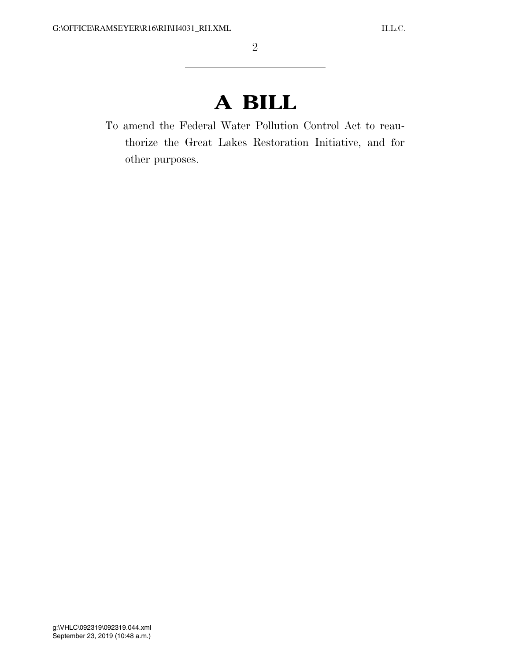# **A BILL**

To amend the Federal Water Pollution Control Act to reauthorize the Great Lakes Restoration Initiative, and for other purposes.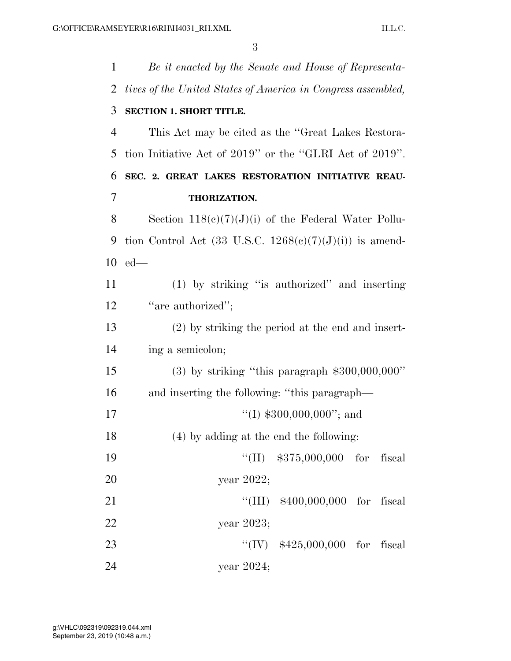| 1              | Be it enacted by the Senate and House of Representa-               |  |
|----------------|--------------------------------------------------------------------|--|
| 2              | tives of the United States of America in Congress assembled,       |  |
| 3              | SECTION 1. SHORT TITLE.                                            |  |
| 4              | This Act may be cited as the "Great Lakes Restora-                 |  |
| 5              | tion Initiative Act of 2019" or the "GLRI Act of 2019".            |  |
| 6              | SEC. 2. GREAT LAKES RESTORATION INITIATIVE REAU-                   |  |
| $\overline{7}$ | THORIZATION.                                                       |  |
| 8              | Section $118(c)(7)(J)(i)$ of the Federal Water Pollu-              |  |
| 9              | tion Control Act $(33 \text{ U.S.C. } 1268(e)(7)(J)(i))$ is amend- |  |
|                | $10$ ed—                                                           |  |
| 11             | (1) by striking "is authorized" and inserting                      |  |
| 12             | "are authorized";                                                  |  |
| 13             | (2) by striking the period at the end and insert-                  |  |
| 14             | ing a semicolon;                                                   |  |
| 15             | $(3)$ by striking "this paragraph \$300,000,000"                   |  |
| 16             | and inserting the following: "this paragraph—                      |  |
| 17             | $\lq(1)$ \$300,000,000"; and                                       |  |
| 18             | (4) by adding at the end the following:                            |  |
| 19             | $``(II)$ \$375,000,000 for<br>fiscal                               |  |
| 20             | year 2022;                                                         |  |
| 21             | "(III) $$400,000,000$ for fiscal                                   |  |
| 22             | year 2023;                                                         |  |
| 23             | "(IV) $$425,000,000$ for fiscal                                    |  |
| 24             | year 2024;                                                         |  |